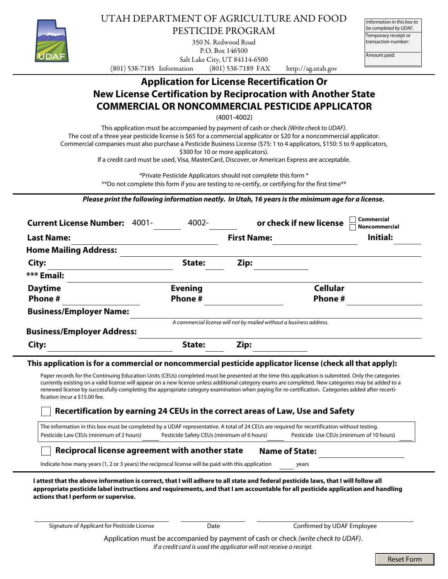

UTAH DEPARTMENT OF AGRICULTURE AND FOOD PESTICIDE PROGRAM

350 N. Redwood Road P.O. Box 146500 Salt Lake City, UT 84114-6500

Temporary receipt or transaction number: *Information in this box to be completed by UDAF.*

Amount paid:

(801) 538-7185 Information (801) 538-7189 FAX http://ag.utah.gov

# **Application for License Recertification Or New License Certification by Reciprocation with Another State COMMERCIAL OR NONCOMMERCIAL PESTICIDE APPLICATOR**

(4001-4002)

This application must be accompanied by payment of cash or check *(Write check to UDAF)*. The cost of a three year pesticide license is \$65 for a commercial applicator or \$20 for a noncommercial applicator. Commercial companies must also purchase a Pesticide Business License (\$75: 1 to 4 applicators, \$150: 5 to 9 applicators, \$300 for 10 or more applicators).

If a credit card must be used, Visa, MasterCard, Discover, or American Express are acceptable.

\*Private Pesticide Applicators should not complete this form \*

\*\*Do not complete this form if you are testing to re-certify, or certifying for the first time\*\*

*Please print the following information neatly. In Utah, 16 years is the minimum age for a license.*

| <b>Current License Number:</b><br>-4001 | 4002-          |                                                                     | Commercial<br>or check if new license<br><b>Noncommercial</b> |
|-----------------------------------------|----------------|---------------------------------------------------------------------|---------------------------------------------------------------|
| <b>Last Name:</b>                       |                | <b>First Name:</b>                                                  | Initial:                                                      |
| <b>Home Mailing Address:</b>            |                |                                                                     |                                                               |
| City:                                   | State:         | Zip:                                                                |                                                               |
| *** Email:                              |                |                                                                     |                                                               |
| <b>Daytime</b>                          | <b>Evening</b> |                                                                     | <b>Cellular</b>                                               |
| Phone #                                 | Phone#         |                                                                     | <b>Phone#</b>                                                 |
| <b>Business/Employer Name:</b>          |                |                                                                     |                                                               |
|                                         |                | A commercial license will not by mailed without a business address. |                                                               |
| <b>Business/Employer Address:</b>       |                |                                                                     |                                                               |
| City:                                   | State:         | Zip:                                                                |                                                               |

### **This application is for a commercial or noncommercial pesticide applicator license (check all that apply):**

Paper records for the Continuing Education Units (CEUs) completed must be presented at the time this application is submitted. Only the categories currently existing on a valid license will appear on a new license unless additional category exams are completed. New categories may be added to a renewed license by successfully completing the appropriate category examination when paying for re-certification. Categories added after recertification incur a \$15.00 fee.

## **Recertification by earning 24 CEUs in the correct areas of Law, Use and Safety**

The information in this box must be completed by a UDAF representative. A total of 24 CEUs are required for recertification without testing. Pesticide Law CEUs (minimum of 2 hours) Pesticide Safety CEUs (minimum of 6 hours) Pesticide Use CEUs (minimum of 10 hours)

#### **Reciprocal license agreement with another state Name of State:**

Indicate how many years (1, 2 or 3 years) the reciprocal license will be paid with this application years

**I attest that the above information is correct, that I will adhere to all state and federal pesticide laws, that I will follow all appropriate pesticide label instructions and requirements, and that I am accountable for all pesticide application and handling actions that I perform or supervise.**

Signature of Applicant for Pesticide License **Date** Date **Date Confirmed by UDAF Employee** 

Application must be accompanied by payment of cash or check *(write check to UDAF)*. *If a credit card is used the applicator will not receive a receipt.*